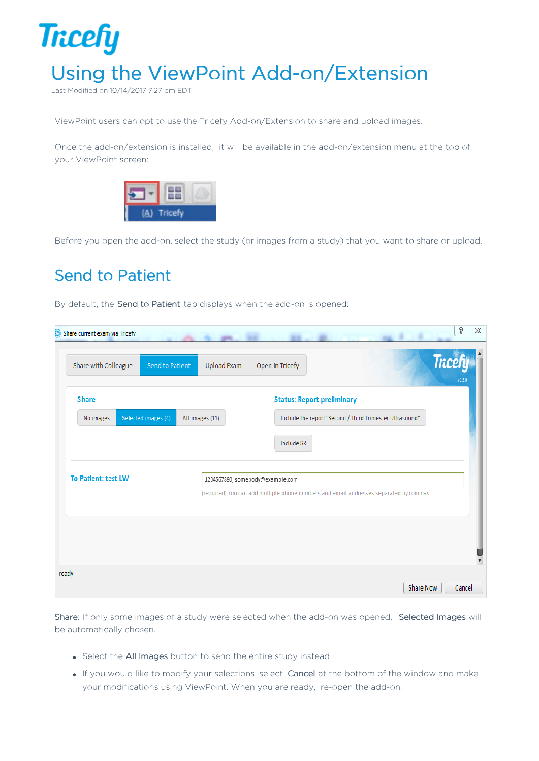

Last Modified on 10/14/2017 7:27 pm EDT

ViewPoint users can opt to use the Tricefy Add-on/Extension to share and upload images.

Once the add-on/extension is installed, it will be available in the add-on/extension menu at the top of your ViewPoint screen:



Before you open the add-on, select the study (or images from a study) that you want to share or upload.

## Send to Patient

By default, the Send to Patient tab displays when the add-on is opened:

| <b>Share</b><br>Selected images (4)<br>All images (11)<br>No images | <b>Tricefy</b><br>v1.3.0<br><b>Status: Report preliminary</b><br>Include the report "Second / Third Trimester Ultrasound"<br>Include SR |
|---------------------------------------------------------------------|-----------------------------------------------------------------------------------------------------------------------------------------|
|                                                                     |                                                                                                                                         |
|                                                                     |                                                                                                                                         |
| To Patient: test LW                                                 |                                                                                                                                         |
|                                                                     | 1234567890, somebody@example.com                                                                                                        |
|                                                                     | (required) You can add multiple phone numbers and email addresses separated by commas                                                   |
|                                                                     |                                                                                                                                         |
|                                                                     |                                                                                                                                         |
| ready                                                               |                                                                                                                                         |

Share: If only some images of a study were selected when the add-on was opened, Selected Images will be automatically chosen.

- Select the All Images button to send the entire study instead
- If you would like to modify your selections, select Cancel at the bottom of the window and make your modifications using ViewPoint. When you are ready, re-open the add-on.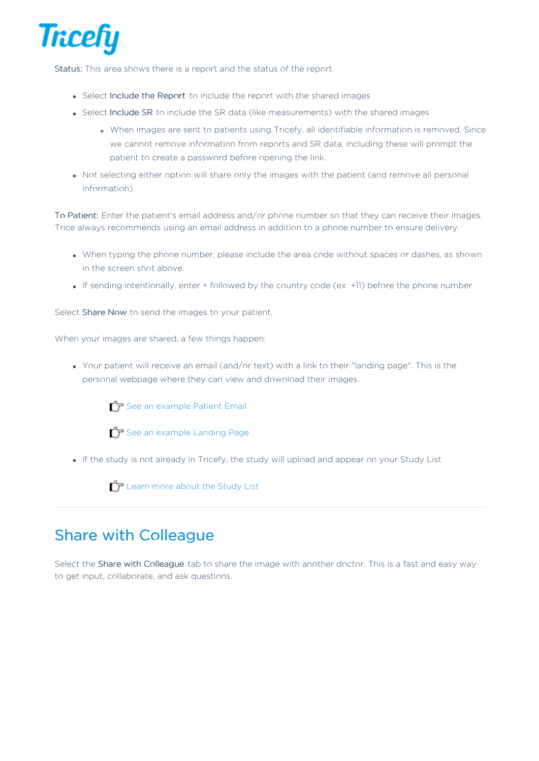

Status: This area shows there is a report and the status of the report

- Select Include the Report to include the report with the shared images
- Select Include SR to include the SR data (like measurements) with the shared images
	- When images are sent to patients using Tricefy, all identifiable information is removed. Since we cannot remove information from reports and SR data, including these will prompt the patient to create a password before opening the link.
- Not selecting either option will share only the images with the patient (and remove all personal information).

To Patient: Enter the patient's email address and/or phone number so that they can receive their images. Trice always recommends using an email address in addition to a phone number to ensure delivery.

- When typing the phone number, please include the area code without spaces or dashes, as shown in the screen shot above.
- If sending intentionally, enter + followed by the country code (ex: +11) before the phone number

Select Share Now to send the images to your patient.

When your images are shared, a few things happen:

Your patient will receive an email (and/or text) with a link to their "landing page". This is the personal webpage where they can view and download their images.

 $\mathcal{F}$  See an example Patient Email

 $\mathcal{T}$  See an example Landing Page

If the study is not already in Tricefy, the study will upload and appear on your Study List

 $\mathcal{L}_{\mathcal{F}}$  Learn more about the Study List

## Share with Colleague

Select the Share with Colleague tab to share the image with another doctor. This is a fast and easy way to get input, collaborate, and ask questions.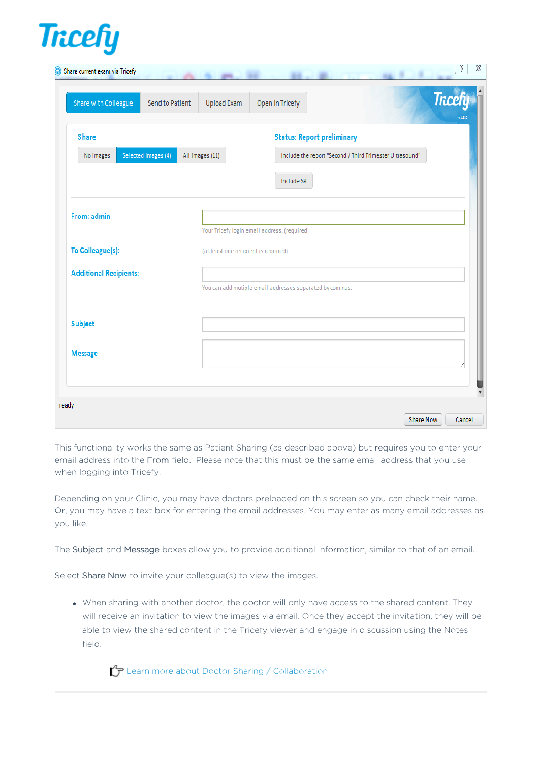

| Share current exam via Tricefy          | g<br>$\Sigma$<br>۰                                                                   |
|-----------------------------------------|--------------------------------------------------------------------------------------|
| Share with Colleague<br>Send to Patient | <b>Tricefy</b><br><b>Upload Exam</b><br>Open in Tricefy                              |
| <b>Share</b>                            | <b>Status: Report preliminary</b>                                                    |
| Selected images (4)<br>No images        | Include the report "Second / Third Trimester Ultrasound"<br>All images (11)          |
|                                         | Include SR                                                                           |
| From: admin                             |                                                                                      |
| To Colleague(s):                        | Your Tricefy login email address. (required)<br>(at least one recipient is required) |
|                                         |                                                                                      |
| <b>Additional Recipients:</b>           | You can add mutiple email addresses separated by commas.                             |
| <b>Subject</b>                          |                                                                                      |
| <b>Message</b>                          |                                                                                      |
|                                         |                                                                                      |
| ready                                   | Share Now<br>Cancel                                                                  |

This functionality works the same as Patient Sharing (as described above) but requires you to enter your email address into the From field. Please note that this must be the same email address that you use when logging into Tricefy.

Depending on your Clinic, you may have doctors preloaded on this screen so you can check their name. Or, you may have a text box for entering the email addresses. You may enter as many email addresses as you like.

The Subject and Message boxes allow you to provide additional information, similar to that of an email.

Select Share Now to invite your colleague(s) to view the images.

When sharing with another doctor, the doctor will only have access to the shared content. They will receive an invitation to view the images via email. Once they accept the invitation, they will be able to view the shared content in the Tricefy viewer and engage in discussion using the Notes field.

 $\mathcal{T}$  Learn more about Doctor Sharing / Collaboration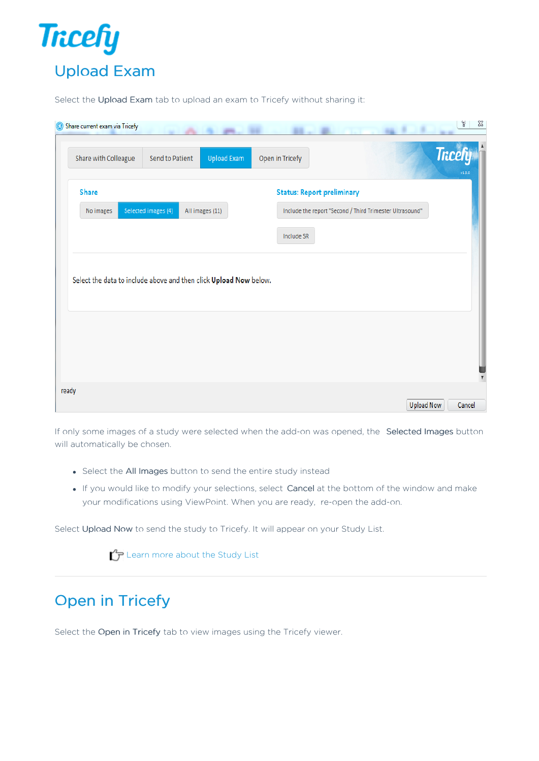

Select the Upload Exam tab to upload an exam to Tricefy without sharing it:

| Share with Colleague                                              | Send to Patient     | <b>Upload Exam</b> | Open in Tricefy                   |                                                          | <b>Tricefy</b><br>V1.3.0 |
|-------------------------------------------------------------------|---------------------|--------------------|-----------------------------------|----------------------------------------------------------|--------------------------|
| <b>Share</b>                                                      |                     |                    | <b>Status: Report preliminary</b> |                                                          |                          |
| No images                                                         | Selected images (4) | All images (11)    |                                   | Include the report "Second / Third Trimester Ultrasound" |                          |
|                                                                   |                     |                    | Include SR                        |                                                          |                          |
|                                                                   |                     |                    |                                   |                                                          |                          |
| Select the data to include above and then click Upload Now below. |                     |                    |                                   |                                                          |                          |
|                                                                   |                     |                    |                                   |                                                          |                          |

If only some images of a study were selected when the add-on was opened, the Selected Images button will automatically be chosen.

- Select the All Images button to send the entire study instead
- If you would like to modify your selections, select Cancel at the bottom of the window and make your modifications using ViewPoint. When you are ready, re-open the add-on.

Select Upload Now to send the study to Tricefy. It will appear on your Study List.

 $\mathcal{L}_{\mathcal{T}}$  Learn more about the Study List

## Open in Tricefy

Select the Open in Tricefy tab to view images using the Tricefy viewer.